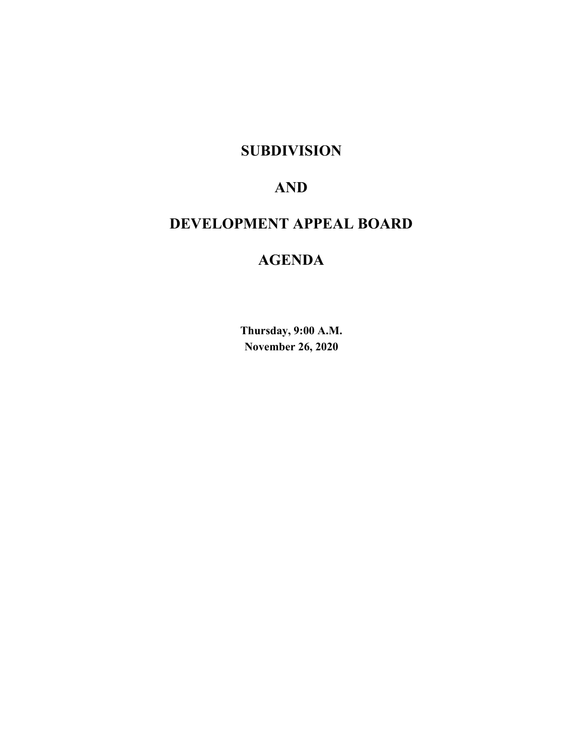## **SUBDIVISION**

# **AND**

# **DEVELOPMENT APPEAL BOARD**

# **AGENDA**

**Thursday, 9:00 A.M. November 26, 2020**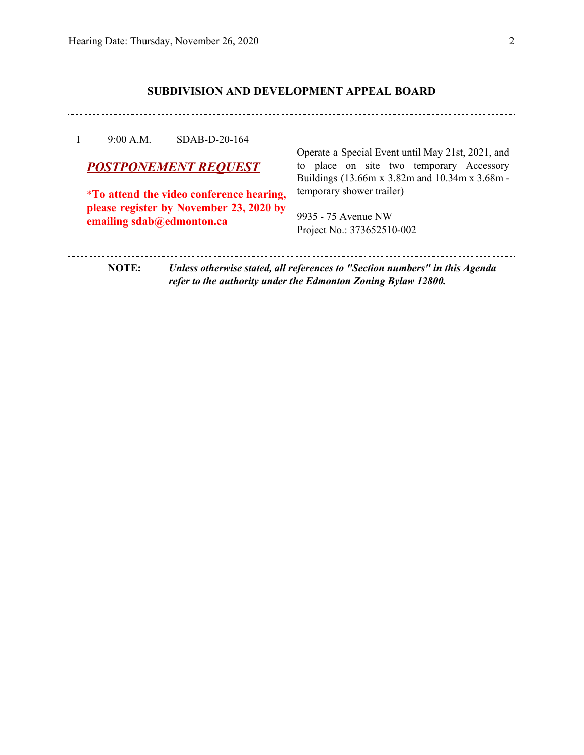## **SUBDIVISION AND DEVELOPMENT APPEAL BOARD**

### I 9:00 A.M. SDAB-D-20-164

## *POSTPONEMENT REQUEST*

\***To attend the video conference hearing, please register by November 23, 2020 by emailing sdab@edmonton.ca**

Operate a Special Event until May 21st, 2021, and to place on site two temporary Accessory Buildings (13.66m x 3.82m and 10.34m x 3.68m temporary shower trailer)

9935 - 75 Avenue NW Project No.: 373652510-002

**NOTE:** *Unless otherwise stated, all references to "Section numbers" in this Agenda refer to the authority under the Edmonton Zoning Bylaw 12800.*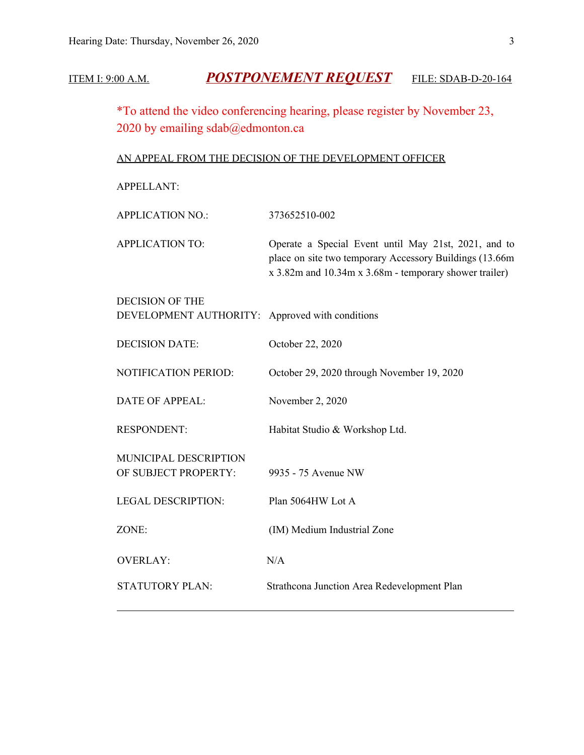## ITEM I: 9:00 A.M. *POSTPONEMENT REQUEST* FILE: SDAB-D-20-164

\*To attend the video conferencing hearing, please register by November 23, 2020 by emailing sdab@edmonton.ca

## AN APPEAL FROM THE DECISION OF THE DEVELOPMENT OFFICER

APPELLANT:

| <b>APPLICATION NO.:</b>                                                   | 373652510-002                                                                                                                                                             |
|---------------------------------------------------------------------------|---------------------------------------------------------------------------------------------------------------------------------------------------------------------------|
| <b>APPLICATION TO:</b>                                                    | Operate a Special Event until May 21st, 2021, and to<br>place on site two temporary Accessory Buildings (13.66m<br>x 3.82m and 10.34m x 3.68m - temporary shower trailer) |
| <b>DECISION OF THE</b><br>DEVELOPMENT AUTHORITY: Approved with conditions |                                                                                                                                                                           |
| <b>DECISION DATE:</b>                                                     | October 22, 2020                                                                                                                                                          |
| NOTIFICATION PERIOD:                                                      | October 29, 2020 through November 19, 2020                                                                                                                                |
| <b>DATE OF APPEAL:</b>                                                    | November 2, 2020                                                                                                                                                          |
| <b>RESPONDENT:</b>                                                        | Habitat Studio & Workshop Ltd.                                                                                                                                            |
| MUNICIPAL DESCRIPTION<br>OF SUBJECT PROPERTY:                             | 9935 - 75 Avenue NW                                                                                                                                                       |
| <b>LEGAL DESCRIPTION:</b>                                                 | Plan 5064HW Lot A                                                                                                                                                         |
| ZONE:                                                                     | (IM) Medium Industrial Zone                                                                                                                                               |
| <b>OVERLAY:</b>                                                           | N/A                                                                                                                                                                       |
| <b>STATUTORY PLAN:</b>                                                    | Strathcona Junction Area Redevelopment Plan                                                                                                                               |
|                                                                           |                                                                                                                                                                           |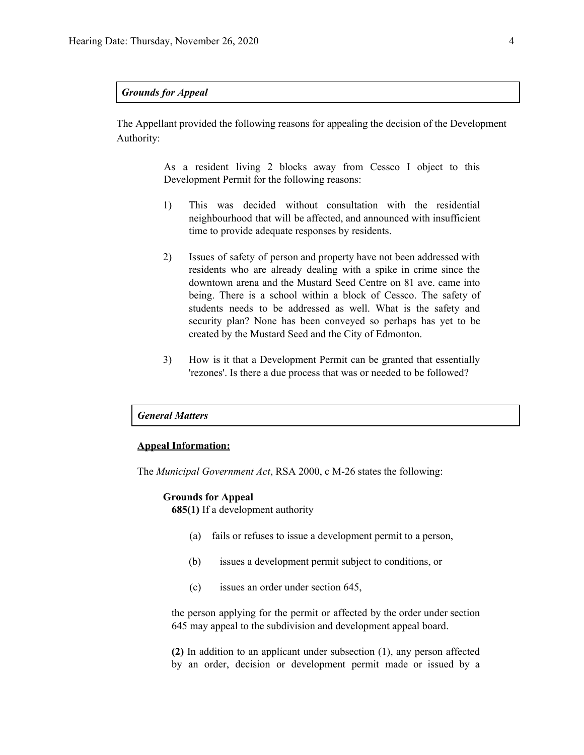## *Grounds for Appeal*

The Appellant provided the following reasons for appealing the decision of the Development Authority:

> As a resident living 2 blocks away from Cessco I object to this Development Permit for the following reasons:

- 1) This was decided without consultation with the residential neighbourhood that will be affected, and announced with insufficient time to provide adequate responses by residents.
- 2) Issues of safety of person and property have not been addressed with residents who are already dealing with a spike in crime since the downtown arena and the Mustard Seed Centre on 81 ave. came into being. There is a school within a block of Cessco. The safety of students needs to be addressed as well. What is the safety and security plan? None has been conveyed so perhaps has yet to be created by the Mustard Seed and the City of Edmonton.
- 3) How is it that a Development Permit can be granted that essentially 'rezones'. Is there a due process that was or needed to be followed?

#### *General Matters*

### **Appeal Information:**

The *Municipal Government Act*, RSA 2000, c M-26 states the following:

#### **Grounds for Appeal**

**685(1)** If a development authority

- (a) fails or refuses to issue a development permit to a person,
- (b) issues a development permit subject to conditions, or
- (c) issues an order under section 645,

the person applying for the permit or affected by the order under section 645 may appeal to the subdivision and development appeal board.

**(2)** In addition to an applicant under subsection (1), any person affected by an order, decision or development permit made or issued by a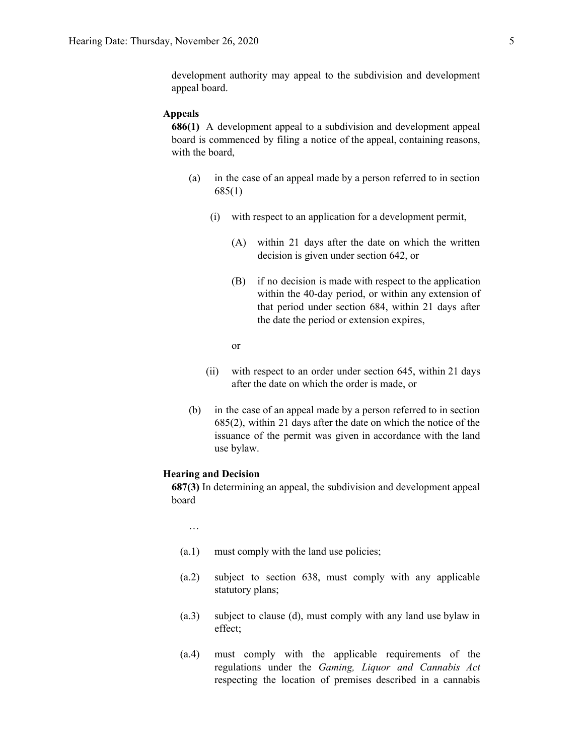#### **Appeals**

**686(1)** A development appeal to a subdivision and development appeal board is commenced by filing a notice of the appeal, containing reasons, with the board,

- (a) in the case of an appeal made by a person referred to in section 685(1)
	- (i) with respect to an application for a development permit,
		- (A) within 21 days after the date on which the written decision is given under section 642, or
		- (B) if no decision is made with respect to the application within the 40-day period, or within any extension of that period under section 684, within 21 days after the date the period or extension expires,
		- or
	- (ii) with respect to an order under section 645, within 21 days after the date on which the order is made, or
- (b) in the case of an appeal made by a person referred to in section 685(2), within 21 days after the date on which the notice of the issuance of the permit was given in accordance with the land use bylaw.

#### **Hearing and Decision**

**687(3)** In determining an appeal, the subdivision and development appeal board

…

- (a.1) must comply with the land use policies;
- (a.2) subject to section 638, must comply with any applicable statutory plans;
- (a.3) subject to clause (d), must comply with any land use bylaw in effect;
- (a.4) must comply with the applicable requirements of the regulations under the *Gaming, Liquor and Cannabis Act* respecting the location of premises described in a cannabis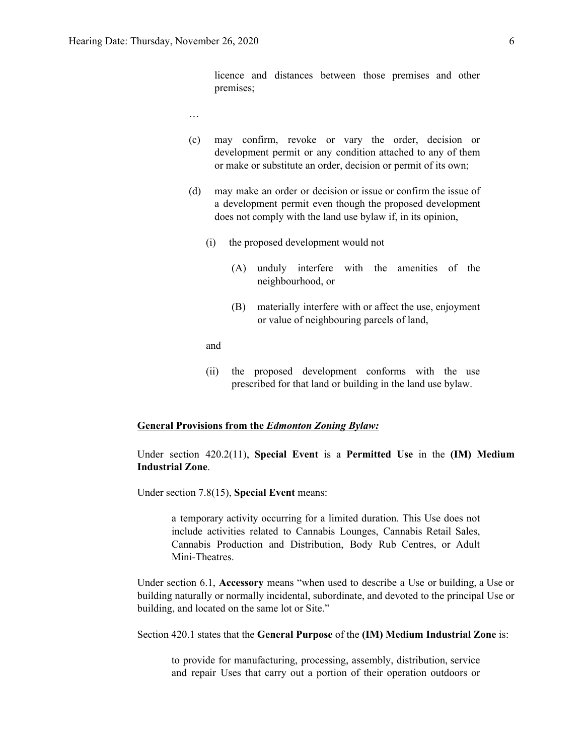licence and distances between those premises and other premises;

- …
- (c) may confirm, revoke or vary the order, decision or development permit or any condition attached to any of them or make or substitute an order, decision or permit of its own;
- (d) may make an order or decision or issue or confirm the issue of a development permit even though the proposed development does not comply with the land use bylaw if, in its opinion,
	- (i) the proposed development would not
		- (A) unduly interfere with the amenities of the neighbourhood, or
		- (B) materially interfere with or affect the use, enjoyment or value of neighbouring parcels of land,

and

(ii) the proposed development conforms with the use prescribed for that land or building in the land use bylaw.

### **General Provisions from the** *Edmonton Zoning Bylaw:*

Under section 420.2(11), **Special Event** is a **Permitted Use** in the **(IM) Medium Industrial Zone**.

Under section 7.8(15), **Special Event** means:

a temporary activity occurring for a limited duration. This Use does not include activities related to Cannabis Lounges, Cannabis Retail Sales, Cannabis Production and Distribution, Body Rub Centres, or Adult Mini-Theatres.

Under section 6.1, **Accessory** means "when used to describe a Use or building, a Use or building naturally or normally incidental, subordinate, and devoted to the principal Use or building, and located on the same lot or Site."

Section 420.1 states that the **General Purpose** of the **(IM) Medium Industrial Zone** is:

to provide for manufacturing, processing, assembly, distribution, service and repair Uses that carry out a portion of their operation outdoors or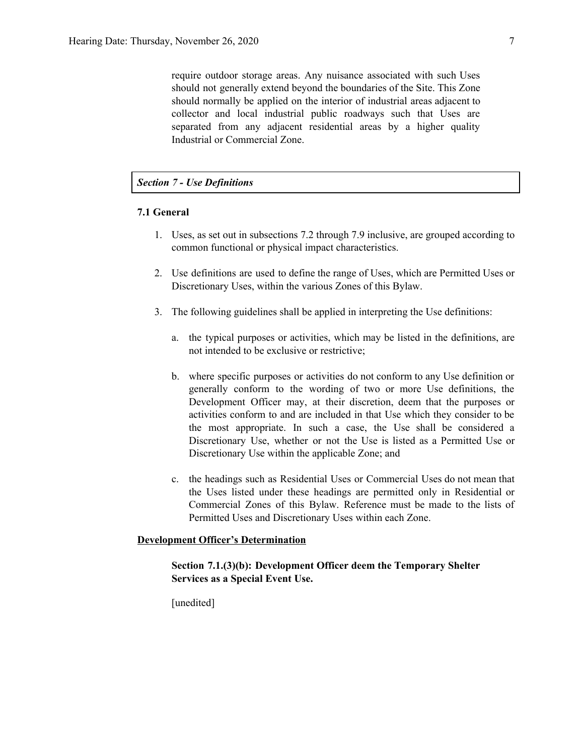require outdoor storage areas. Any nuisance associated with such Uses should not generally extend beyond the boundaries of the Site. This Zone should normally be applied on the interior of industrial areas adjacent to collector and local industrial public roadways such that Uses are separated from any adjacent residential areas by a higher quality Industrial or Commercial Zone.

### *Section 7 - Use Definitions*

### **7.1 General**

- 1. Uses, as set out in subsections 7.2 through 7.9 inclusive, are grouped according to common functional or physical impact characteristics.
- 2. Use definitions are used to define the range of Uses, which are Permitted Uses or Discretionary Uses, within the various Zones of this Bylaw.
- 3. The following guidelines shall be applied in interpreting the Use definitions:
	- a. the typical purposes or activities, which may be listed in the definitions, are not intended to be exclusive or restrictive;
	- b. where specific purposes or activities do not conform to any Use definition or generally conform to the wording of two or more Use definitions, the Development Officer may, at their discretion, deem that the purposes or activities conform to and are included in that Use which they consider to be the most appropriate. In such a case, the Use shall be considered a Discretionary Use, whether or not the Use is listed as a Permitted Use or Discretionary Use within the applicable Zone; and
	- c. the headings such as Residential Uses or Commercial Uses do not mean that the Uses listed under these headings are permitted only in Residential or Commercial Zones of this Bylaw. Reference must be made to the lists of Permitted Uses and Discretionary Uses within each Zone.

## **Development Officer's Determination**

## **Section 7.1.(3)(b): Development Officer deem the Temporary Shelter Services as a Special Event Use.**

[unedited]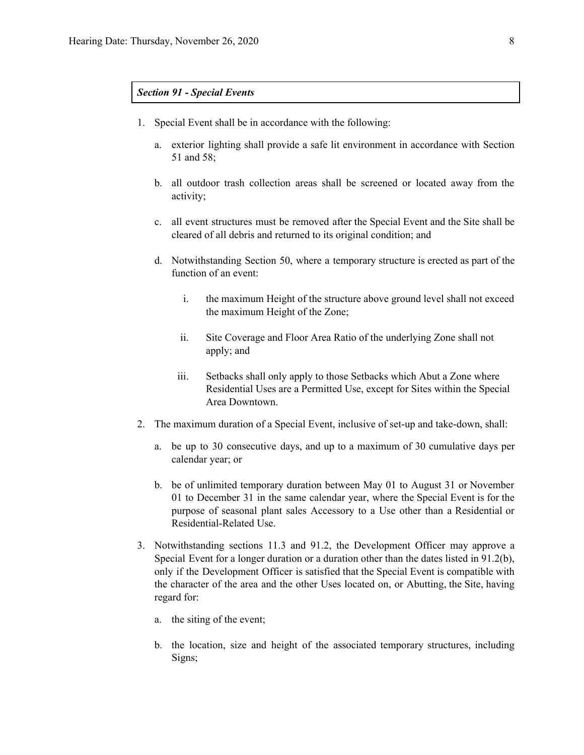## *Section 91 - Special Events*

- 1. Special Event shall be in accordance with the following:
	- a. exterior lighting shall provide a safe lit environment in accordance with Section 51 and [58;](https://webdocs.edmonton.ca/InfraPlan/zoningbylaw/ZoningBylaw/Part1/Development/58__General_Performance_Standards.htm)
	- b. all outdoor trash collection areas shall be screened or located away from the activity;
	- c. all event structures must be removed after the Special Event and the Site shall be cleared of all debris and returned to its original condition; and
	- d. Notwithstanding [Section](https://webdocs.edmonton.ca/InfraPlan/zoningbylaw/ZoningBylaw/Part1/Development/50__Accessory_Uses_and_Buildings.htm) 50, where a temporary structure is erected as part of the function of an event:
		- i. the maximum Height of the structure above ground level shall not exceed the maximum Height of the Zone;
		- ii. Site Coverage and Floor Area Ratio of the underlying Zone shall not apply; and
		- iii. Setbacks shall only apply to those Setbacks which Abut a Zone where Residential Uses are a Permitted Use, except for Sites within the Special Area Downtown.
- 2. The maximum duration of a Special Event, inclusive of set-up and take-down, shall:
	- a. be up to 30 consecutive days, and up to a maximum of 30 cumulative days per calendar year; or
	- b. be of unlimited temporary duration between May 01 to August 31 or November 01 to December 31 in the same calendar year, where the Special Event is for the purpose of seasonal plant sales Accessory to a Use other than a Residential or Residential-Related Use.
- 3. Notwithstanding sections [11.3](https://webdocs.edmonton.ca/InfraPlan/zoningbylaw/ZoningBylaw/Part1/Administrative/11__Authority_and_Responsibility_of_the_Development_Officer.htm) and 91.2, the Development Officer may approve a Special Event for a longer duration or a duration other than the dates listed in 91.2(b), only if the Development Officer is satisfied that the Special Event is compatible with the character of the area and the other Uses located on, or Abutting, the Site, having regard for:
	- a. the siting of the event;
	- b. the location, size and height of the associated temporary structures, including Signs;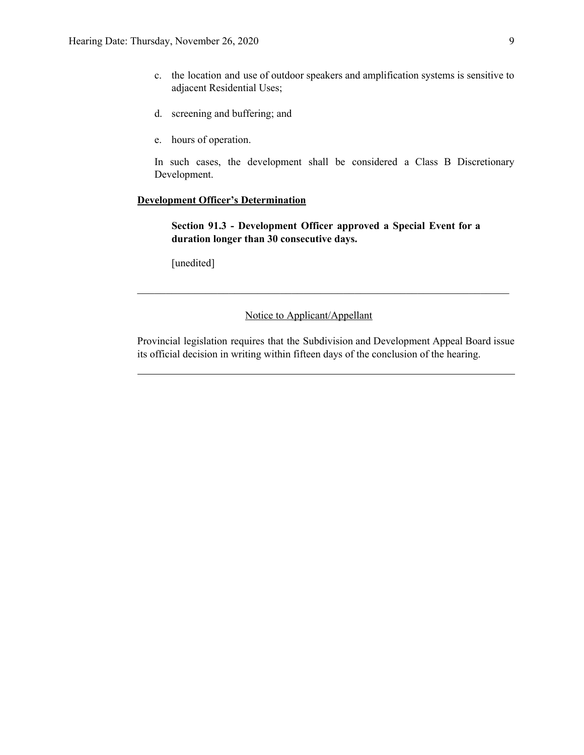- c. the location and use of outdoor speakers and amplification systems is sensitive to adjacent Residential Uses;
- d. screening and buffering; and
- e. hours of operation.

In such cases, the development shall be considered a Class B Discretionary Development.

## **Development Officer's Determination**

**Section 91.3 - Development Officer approved a Special Event for a duration longer than 30 consecutive days.**

 $\mathcal{L}_\text{max}$  , and the contribution of the contribution of the contribution of the contribution of the contribution of the contribution of the contribution of the contribution of the contribution of the contribution of t

[unedited]

## Notice to Applicant/Appellant

Provincial legislation requires that the Subdivision and Development Appeal Board issue its official decision in writing within fifteen days of the conclusion of the hearing.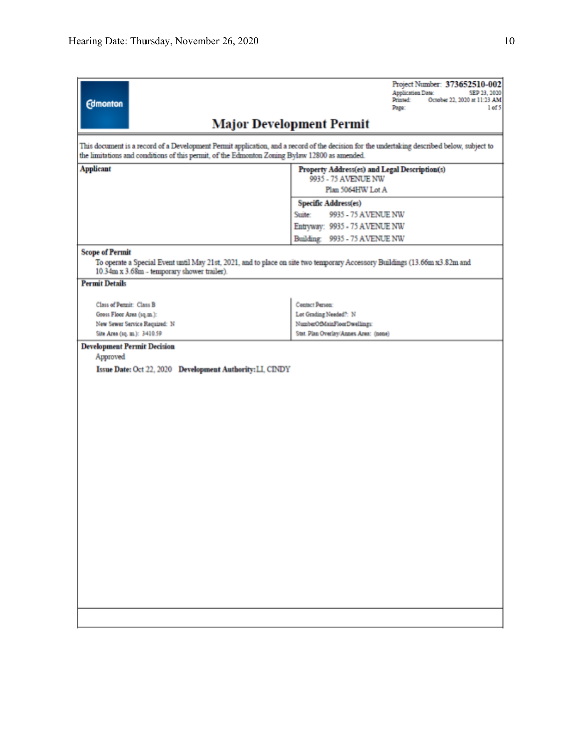| <b>Edmonton</b>                                                                                                                                                                                                                              | Project Number: 373652510-002<br><b>Application Date:</b><br>SEP 23, 2020<br>October 22, 2020 at 11:23 AM<br>Printed:<br>Page:<br>1 <sub>of</sub> 5 |  |  |  |  |  |
|----------------------------------------------------------------------------------------------------------------------------------------------------------------------------------------------------------------------------------------------|-----------------------------------------------------------------------------------------------------------------------------------------------------|--|--|--|--|--|
|                                                                                                                                                                                                                                              | <b>Major Development Permit</b>                                                                                                                     |  |  |  |  |  |
| This document is a record of a Development Permit application, and a record of the decision for the undertaking described below, subject to<br>the limitations and conditions of this permit, of the Edmonton Zoning Bylaw 12800 as amended. |                                                                                                                                                     |  |  |  |  |  |
| <b>Applicant</b>                                                                                                                                                                                                                             | Property Address(es) and Legal Description(s)<br>9935 - 75 AVENUE NW                                                                                |  |  |  |  |  |
|                                                                                                                                                                                                                                              | Plan 5064HW Lot A                                                                                                                                   |  |  |  |  |  |
|                                                                                                                                                                                                                                              | Specific Address(es)                                                                                                                                |  |  |  |  |  |
|                                                                                                                                                                                                                                              | 9935 - 75 AVENUE NW<br>Suite:                                                                                                                       |  |  |  |  |  |
|                                                                                                                                                                                                                                              | Entryway: 9935 - 75 AVENUE NW                                                                                                                       |  |  |  |  |  |
|                                                                                                                                                                                                                                              | Building: 9935 - 75 AVENUE NW                                                                                                                       |  |  |  |  |  |
| <b>Scope of Permit</b><br>To operate a Special Event until May 21st, 2021, and to place on site two temporary Accessory Buildings (13.66m x3.82m and                                                                                         |                                                                                                                                                     |  |  |  |  |  |
| 10.34m x 3.68m - temporary shower trailer).                                                                                                                                                                                                  |                                                                                                                                                     |  |  |  |  |  |
| <b>Permit Details</b>                                                                                                                                                                                                                        |                                                                                                                                                     |  |  |  |  |  |
| Class of Permit: Class B                                                                                                                                                                                                                     | Contact Person:                                                                                                                                     |  |  |  |  |  |
| Gross Floor Area (sq.m.):                                                                                                                                                                                                                    | Lot Grading Needed?: N                                                                                                                              |  |  |  |  |  |
| New Sewer Service Required: N                                                                                                                                                                                                                | NumberOfMainFloorDwellings:                                                                                                                         |  |  |  |  |  |
| Site Area (1q. m.): 3410.59                                                                                                                                                                                                                  | Stat. Plan Overlay/Annex Area: (none)                                                                                                               |  |  |  |  |  |
| <b>Development Permit Decision</b>                                                                                                                                                                                                           |                                                                                                                                                     |  |  |  |  |  |
| Approved                                                                                                                                                                                                                                     |                                                                                                                                                     |  |  |  |  |  |
| Issue Date: Oct 22, 2020 Development Authority: LI, CINDY                                                                                                                                                                                    |                                                                                                                                                     |  |  |  |  |  |
|                                                                                                                                                                                                                                              |                                                                                                                                                     |  |  |  |  |  |
|                                                                                                                                                                                                                                              |                                                                                                                                                     |  |  |  |  |  |
|                                                                                                                                                                                                                                              |                                                                                                                                                     |  |  |  |  |  |
|                                                                                                                                                                                                                                              |                                                                                                                                                     |  |  |  |  |  |
|                                                                                                                                                                                                                                              |                                                                                                                                                     |  |  |  |  |  |
|                                                                                                                                                                                                                                              |                                                                                                                                                     |  |  |  |  |  |
|                                                                                                                                                                                                                                              |                                                                                                                                                     |  |  |  |  |  |
|                                                                                                                                                                                                                                              |                                                                                                                                                     |  |  |  |  |  |
|                                                                                                                                                                                                                                              |                                                                                                                                                     |  |  |  |  |  |
|                                                                                                                                                                                                                                              |                                                                                                                                                     |  |  |  |  |  |
|                                                                                                                                                                                                                                              |                                                                                                                                                     |  |  |  |  |  |
|                                                                                                                                                                                                                                              |                                                                                                                                                     |  |  |  |  |  |
|                                                                                                                                                                                                                                              |                                                                                                                                                     |  |  |  |  |  |
|                                                                                                                                                                                                                                              |                                                                                                                                                     |  |  |  |  |  |
|                                                                                                                                                                                                                                              |                                                                                                                                                     |  |  |  |  |  |
|                                                                                                                                                                                                                                              |                                                                                                                                                     |  |  |  |  |  |
|                                                                                                                                                                                                                                              |                                                                                                                                                     |  |  |  |  |  |
|                                                                                                                                                                                                                                              |                                                                                                                                                     |  |  |  |  |  |
|                                                                                                                                                                                                                                              |                                                                                                                                                     |  |  |  |  |  |
|                                                                                                                                                                                                                                              |                                                                                                                                                     |  |  |  |  |  |
|                                                                                                                                                                                                                                              |                                                                                                                                                     |  |  |  |  |  |
|                                                                                                                                                                                                                                              |                                                                                                                                                     |  |  |  |  |  |
|                                                                                                                                                                                                                                              |                                                                                                                                                     |  |  |  |  |  |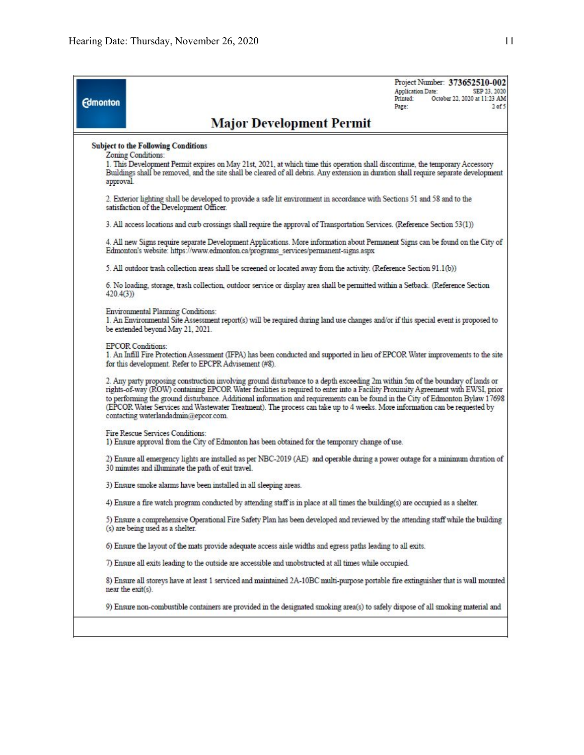| <b>Edmonton</b> | Project Number: 373652510-002<br><b>Application Date:</b><br>SEP 23, 2020<br>October 22, 2020 at 11:23 AM<br>Printed:<br>$2$ of $5$<br>Page:                                                                                                                                                                                                                                                                                                                                                                                                                             |  |  |  |  |  |  |
|-----------------|--------------------------------------------------------------------------------------------------------------------------------------------------------------------------------------------------------------------------------------------------------------------------------------------------------------------------------------------------------------------------------------------------------------------------------------------------------------------------------------------------------------------------------------------------------------------------|--|--|--|--|--|--|
|                 | <b>Major Development Permit</b>                                                                                                                                                                                                                                                                                                                                                                                                                                                                                                                                          |  |  |  |  |  |  |
| approval.       | <b>Subject to the Following Conditions</b><br>Zoning Conditions:<br>1. This Development Permit expires on May 21st, 2021, at which time this operation shall discontinue, the temporary Accessory<br>Buildings shall be removed, and the site shall be cleared of all debris. Any extension in duration shall require separate development                                                                                                                                                                                                                               |  |  |  |  |  |  |
|                 | 2. Exterior lighting shall be developed to provide a safe lit environment in accordance with Sections 51 and 58 and to the<br>satisfaction of the Development Officer.                                                                                                                                                                                                                                                                                                                                                                                                   |  |  |  |  |  |  |
|                 | 3. All access locations and curb crossings shall require the approval of Transportation Services. (Reference Section 53(1))                                                                                                                                                                                                                                                                                                                                                                                                                                              |  |  |  |  |  |  |
|                 | 4. All new Signs require separate Development Applications. More information about Permanent Signs can be found on the City of<br>Edmonton's website: https://www.edmonton.ca/programs services/permanent-signs.aspx                                                                                                                                                                                                                                                                                                                                                     |  |  |  |  |  |  |
|                 | 5. All outdoor trash collection areas shall be screened or located away from the activity. (Reference Section 91.1(b))                                                                                                                                                                                                                                                                                                                                                                                                                                                   |  |  |  |  |  |  |
| 420.4(3)        | 6. No loading, storage, trash collection, outdoor service or display area shall be permitted within a Setback. (Reference Section                                                                                                                                                                                                                                                                                                                                                                                                                                        |  |  |  |  |  |  |
|                 | Environmental Planning Conditions:<br>1. An Environmental Site Assessment report(s) will be required during land use changes and/or if this special event is proposed to<br>be extended beyond May 21, 2021.                                                                                                                                                                                                                                                                                                                                                             |  |  |  |  |  |  |
|                 | <b>EPCOR Conditions:</b><br>1. An Infill Fire Protection Assessment (IFPA) has been conducted and supported in lieu of EPCOR Water improvements to the site<br>for this development. Refer to EPCPR Advisement (#8).                                                                                                                                                                                                                                                                                                                                                     |  |  |  |  |  |  |
|                 | 2. Any party proposing construction involving ground disturbance to a depth exceeding 2m within 5m of the boundary of lands or<br>rights-of-way (ROW) containing EPCOR Water facilities is required to enter into a Facility Proximity Agreement with EWSI, prior<br>to performing the ground disturbance. Additional information and requirements can be found in the City of Edmonton Bylaw 17698<br>(EPCOR Water Services and Wastewater Treatment). The process can take up to 4 weeks. More information can be requested by<br>contacting waterlandadmin@epcor.com. |  |  |  |  |  |  |
|                 | Fire Rescue Services Conditions:<br>1) Ensure approval from the City of Edmonton has been obtained for the temporary change of use.                                                                                                                                                                                                                                                                                                                                                                                                                                      |  |  |  |  |  |  |
|                 | 2) Ensure all emergency lights are installed as per NBC-2019 (AE) and operable during a power outage for a minimum duration of<br>30 minutes and illuminate the path of exit travel.                                                                                                                                                                                                                                                                                                                                                                                     |  |  |  |  |  |  |
|                 | 3) Ensure smoke alarms have been installed in all sleeping areas.                                                                                                                                                                                                                                                                                                                                                                                                                                                                                                        |  |  |  |  |  |  |
|                 | 4) Ensure a fire watch program conducted by attending staff is in place at all times the building(s) are occupied as a shelter.                                                                                                                                                                                                                                                                                                                                                                                                                                          |  |  |  |  |  |  |
|                 | 5) Ensure a comprehensive Operational Fire Safety Plan has been developed and reviewed by the attending staff while the building<br>(s) are being used as a shelter.                                                                                                                                                                                                                                                                                                                                                                                                     |  |  |  |  |  |  |
|                 | 6) Ensure the layout of the mats provide adequate access aisle widths and egress paths leading to all exits.                                                                                                                                                                                                                                                                                                                                                                                                                                                             |  |  |  |  |  |  |
|                 | 7) Ensure all exits leading to the outside are accessible and unobstructed at all times while occupied.                                                                                                                                                                                                                                                                                                                                                                                                                                                                  |  |  |  |  |  |  |
|                 | 8) Ensure all storeys have at least 1 serviced and maintained 2A-10BC multi-purpose portable fire extinguisher that is wall mounted<br>near the exit(s).                                                                                                                                                                                                                                                                                                                                                                                                                 |  |  |  |  |  |  |
|                 | 9) Ensure non-combustible containers are provided in the designated smoking area(s) to safely dispose of all smoking material and                                                                                                                                                                                                                                                                                                                                                                                                                                        |  |  |  |  |  |  |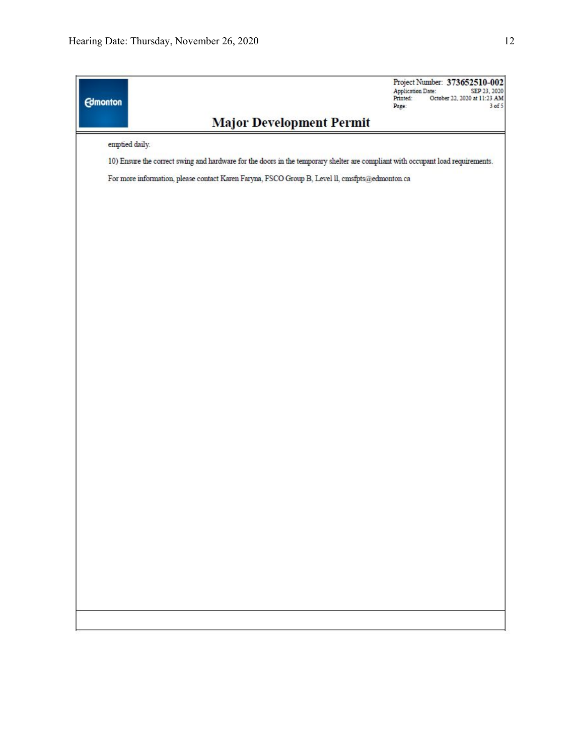| <b>Edmonton</b> |                                                                                                                                 | Project Number: 373652510-002<br><b>Application Date:</b><br>SEP 23, 2020<br>Printed:<br>October 22, 2020 at 11:23 AM<br>3 of 5<br>Page: |
|-----------------|---------------------------------------------------------------------------------------------------------------------------------|------------------------------------------------------------------------------------------------------------------------------------------|
|                 | <b>Major Development Permit</b>                                                                                                 |                                                                                                                                          |
|                 | emptied daily.                                                                                                                  |                                                                                                                                          |
|                 | 10) Ensure the correct swing and hardware for the doors in the temporary shelter are compliant with occupant load requirements. |                                                                                                                                          |
|                 | For more information, please contact Karen Faryna, FSCO Group B, Level II, cmsfpts@edmonton.ca                                  |                                                                                                                                          |
|                 |                                                                                                                                 |                                                                                                                                          |
|                 |                                                                                                                                 |                                                                                                                                          |
|                 |                                                                                                                                 |                                                                                                                                          |
|                 |                                                                                                                                 |                                                                                                                                          |
|                 |                                                                                                                                 |                                                                                                                                          |
|                 |                                                                                                                                 |                                                                                                                                          |
|                 |                                                                                                                                 |                                                                                                                                          |
|                 |                                                                                                                                 |                                                                                                                                          |
|                 |                                                                                                                                 |                                                                                                                                          |
|                 |                                                                                                                                 |                                                                                                                                          |
|                 |                                                                                                                                 |                                                                                                                                          |
|                 |                                                                                                                                 |                                                                                                                                          |
|                 |                                                                                                                                 |                                                                                                                                          |
|                 |                                                                                                                                 |                                                                                                                                          |
|                 |                                                                                                                                 |                                                                                                                                          |
|                 |                                                                                                                                 |                                                                                                                                          |
|                 |                                                                                                                                 |                                                                                                                                          |
|                 |                                                                                                                                 |                                                                                                                                          |
|                 |                                                                                                                                 |                                                                                                                                          |
|                 |                                                                                                                                 |                                                                                                                                          |
|                 |                                                                                                                                 |                                                                                                                                          |
|                 |                                                                                                                                 |                                                                                                                                          |
|                 |                                                                                                                                 |                                                                                                                                          |
|                 |                                                                                                                                 |                                                                                                                                          |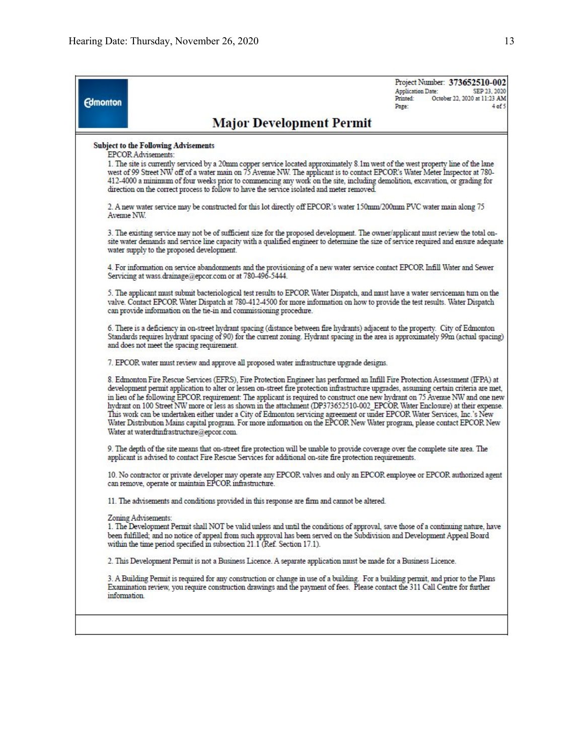Project Number: 373652510-002 **Application Date:** SEP 23, 2020 October 22, 2020 at 11:23 AM **Drinted** Page:  $4$  of 5

## **Major Development Permit**

#### **Subject to the Following Advisements**

**EPCOR Advisements:** 

**Edmonton** 

1. The site is currently serviced by a 20mm copper service located approximately 8.1m west of the west property line of the lane west of 99 Street NW off of a water main on 75 Avenue NW. The applicant is to contact EPCOR's Water Meter Inspector at 780-412-4000 a minimum of four weeks prior to commencing any work on the site, including demolition, excavation, or grading for direction on the correct process to follow to have the service isolated and meter removed.

2. A new water service may be constructed for this lot directly off EPCOR's water 150mm/200mm PVC water main along 75 Avenue NW.

3. The existing service may not be of sufficient size for the proposed development. The owner/applicant must review the total onsite water demands and service line capacity with a qualified engineer to determine the size of service required and ensure adequate water supply to the proposed development.

4. For information on service abandonments and the provisioning of a new water service contact EPCOR Infill Water and Sewer<br>Servicing at wass.drainage@epcor.com or at 780-496-5444.

5. The applicant must submit bacteriological test results to EPCOR Water Dispatch, and must have a water serviceman turn on the valve. Contact EPCOR Water Dispatch at 780-412-4500 for more information on how to provide the test results. Water Dispatch can provide information on the tie-in and commissioning procedure.

6. There is a deficiency in on-street hydrant spacing (distance between fire hydrants) adjacent to the property. City of Edmonton Standards requires hydrant spacing of 90) for the current zoning. Hydrant spacing in the area is approximately 99m (actual spacing) and does not meet the spacing requirement.

7. EPCOR water must review and approve all proposed water infrastructure upgrade designs.

8. Edmonton Fire Rescue Services (EFRS), Fire Protection Engineer has performed an Infill Fire Protection Assessment (IFPA) at development permit application to alter or lessen on-street fire protection infrastructure upgrades, assuming certain criteria are met, in lieu of he following EPCOR requirement: The applicant is required to construct one new hydrant on 75 Avenue NW and one new hydrant on 100 Street NW more or less as shown in the attachment (DP373652510-002 EPCOR Water Enclosure) at their expense. This work can be undertaken either under a City of Edmonton servicing agreement or under EPCOR Water Services, Inc.'s New<br>Water Distribution Mains capital program. For more information on the EPCOR New Water program, pleas Water at waterdtinfrastructure@epcor.com.

9. The depth of the site means that on-street fire protection will be unable to provide coverage over the complete site area. The applicant is advised to contact Fire Rescue Services for additional on-site fire protection requirements.

10. No contractor or private developer may operate any EPCOR valves and only an EPCOR employee or EPCOR authorized agent can remove, operate or maintain EPCOR infrastructure.

11. The advisements and conditions provided in this response are firm and cannot be altered.

#### Zoning Advisements:

1. The Development Permit shall NOT be valid unless and until the conditions of approval, save those of a continuing nature, have been fulfilled; and no notice of appeal from such approval has been served on the Subdivision and Development Appeal Board within the time period specified in subsection 21.1 (Ref. Section 17.1).

2. This Development Permit is not a Business Licence. A separate application must be made for a Business Licence.

3. A Building Permit is required for any construction or change in use of a building. For a building permit, and prior to the Plans Examination review, you require construction drawings and the payment of fees. Please contact the 311 Call Centre for further information.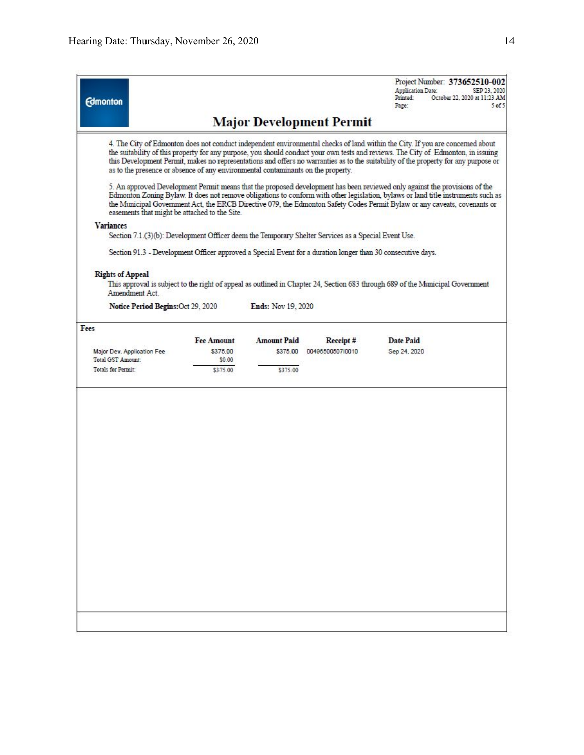Project Number: 373652510-002<br>Application Date: SEP 23, 2020

| <b>Edmonton</b>                                 |                                    |                                                                                  |                           |                                                                                                                                | Printed:<br>Page: | October 22, 2020 at 11:23 AM<br>5 <sub>0</sub> f5                                                                                                                                                                                                                                                                                                                                                         |
|-------------------------------------------------|------------------------------------|----------------------------------------------------------------------------------|---------------------------|--------------------------------------------------------------------------------------------------------------------------------|-------------------|-----------------------------------------------------------------------------------------------------------------------------------------------------------------------------------------------------------------------------------------------------------------------------------------------------------------------------------------------------------------------------------------------------------|
|                                                 |                                    |                                                                                  |                           | <b>Major Development Permit</b>                                                                                                |                   |                                                                                                                                                                                                                                                                                                                                                                                                           |
|                                                 |                                    | as to the presence or absence of any environmental contaminants on the property. |                           |                                                                                                                                |                   | 4. The City of Edmonton does not conduct independent environmental checks of land within the City. If you are concerned about<br>the suitability of this property for any purpose, you should conduct your own tests and reviews. The City of Edmonton, in issuing<br>this Development Permit, makes no representations and offers no warranties as to the suitability of the property for any purpose or |
|                                                 |                                    | easements that might be attached to the Site.                                    |                           | 5. An approved Development Permit means that the proposed development has been reviewed only against the provisions of the     |                   | Edmonton Zoning Bylaw. It does not remove obligations to conform with other legislation, bylaws or land title instruments such as<br>the Municipal Government Act, the ERCB Directive 079, the Edmonton Safety Codes Permit Bylaw or any caveats, covenants or                                                                                                                                            |
| <b>Variances</b>                                |                                    |                                                                                  |                           |                                                                                                                                |                   |                                                                                                                                                                                                                                                                                                                                                                                                           |
|                                                 |                                    |                                                                                  |                           | Section 7.1.(3)(b): Development Officer deem the Temporary Shelter Services as a Special Event Use.                            |                   |                                                                                                                                                                                                                                                                                                                                                                                                           |
|                                                 |                                    |                                                                                  |                           | Section 91.3 - Development Officer approved a Special Event for a duration longer than 30 consecutive days.                    |                   |                                                                                                                                                                                                                                                                                                                                                                                                           |
| <b>Rights of Appeal</b>                         |                                    |                                                                                  |                           |                                                                                                                                |                   |                                                                                                                                                                                                                                                                                                                                                                                                           |
|                                                 | Amendment Act.                     |                                                                                  |                           | This approval is subject to the right of appeal as outlined in Chapter 24, Section 683 through 689 of the Municipal Government |                   |                                                                                                                                                                                                                                                                                                                                                                                                           |
|                                                 | Notice Period Begins: Oct 29, 2020 |                                                                                  | <b>Ends:</b> Nov 19, 2020 |                                                                                                                                |                   |                                                                                                                                                                                                                                                                                                                                                                                                           |
| Fees                                            |                                    |                                                                                  |                           |                                                                                                                                |                   |                                                                                                                                                                                                                                                                                                                                                                                                           |
|                                                 |                                    | <b>Fee Amount</b>                                                                | <b>Amount Paid</b>        | Receipt#                                                                                                                       | Date Paid         |                                                                                                                                                                                                                                                                                                                                                                                                           |
| Major Dev. Application Fee<br>Total GST Amount: |                                    | \$375.00<br>\$0.00                                                               | \$375.00                  | 0049650050710010                                                                                                               | Sep 24, 2020      |                                                                                                                                                                                                                                                                                                                                                                                                           |
| Totals for Permit:                              |                                    | \$375.00                                                                         | \$375.00                  |                                                                                                                                |                   |                                                                                                                                                                                                                                                                                                                                                                                                           |
|                                                 |                                    |                                                                                  |                           |                                                                                                                                |                   |                                                                                                                                                                                                                                                                                                                                                                                                           |
|                                                 |                                    |                                                                                  |                           |                                                                                                                                |                   |                                                                                                                                                                                                                                                                                                                                                                                                           |